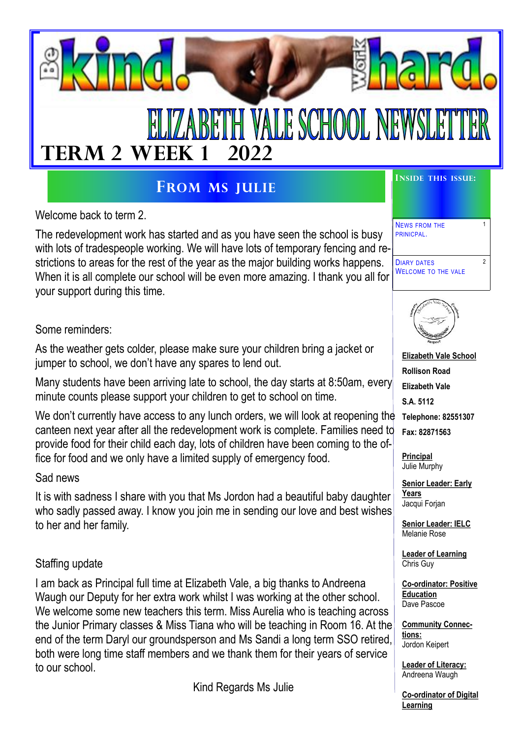

# **FROM MS JULIE**

Welcome back to term 2.

The redevelopment work has started and as you have seen the school is busy with lots of tradespeople working. We will have lots of temporary fencing and restrictions to areas for the rest of the year as the major building works happens. When it is all complete our school will be even more amazing. I thank you all for your support during this time.

Some reminders:

As the weather gets colder, please make sure your children bring a jacket or jumper to school, we don't have any spares to lend out.

Many students have been arriving late to school, the day starts at 8:50am, every minute counts please support your children to get to school on time.

We don't currently have access to any lunch orders, we will look at reopening the canteen next year after all the redevelopment work is complete. Families need to provide food for their child each day, lots of children have been coming to the office for food and we only have a limited supply of emergency food.

Sad news

It is with sadness I share with you that Ms Jordon had a beautiful baby daughter who sadly passed away. I know you join me in sending our love and best wishes to her and her family.

#### Staffing update

I am back as Principal full time at Elizabeth Vale, a big thanks to Andreena Waugh our Deputy for her extra work whilst I was working at the other school. We welcome some new teachers this term. Miss Aurelia who is teaching across the Junior Primary classes & Miss Tiana who will be teaching in Room 16. At the end of the term Daryl our groundsperson and Ms Sandi a long term SSO retired, both were long time staff members and we thank them for their years of service to our school.

Kind Regards Ms Julie

NEWS FROM THE PRINICPAL.

DIARY DATES WELCOME TO THE VALE 1

2



**Elizabeth Vale School Rollison Road Elizabeth Vale S.A. 5112 Telephone: 82551307 Fax: 82871563**

**Principal** Julie Murphy

**Senior Leader: Early Years**  Jacqui Forjan

**Senior Leader: IELC** Melanie Rose

**Leader of Learning** Chris Guy

**Co-ordinator: Positive Education**  Dave Pascoe

**Community Connections:** Jordon Keipert

**Leader of Literacy:** Andreena Waugh

**Co-ordinator of Digital Learning**